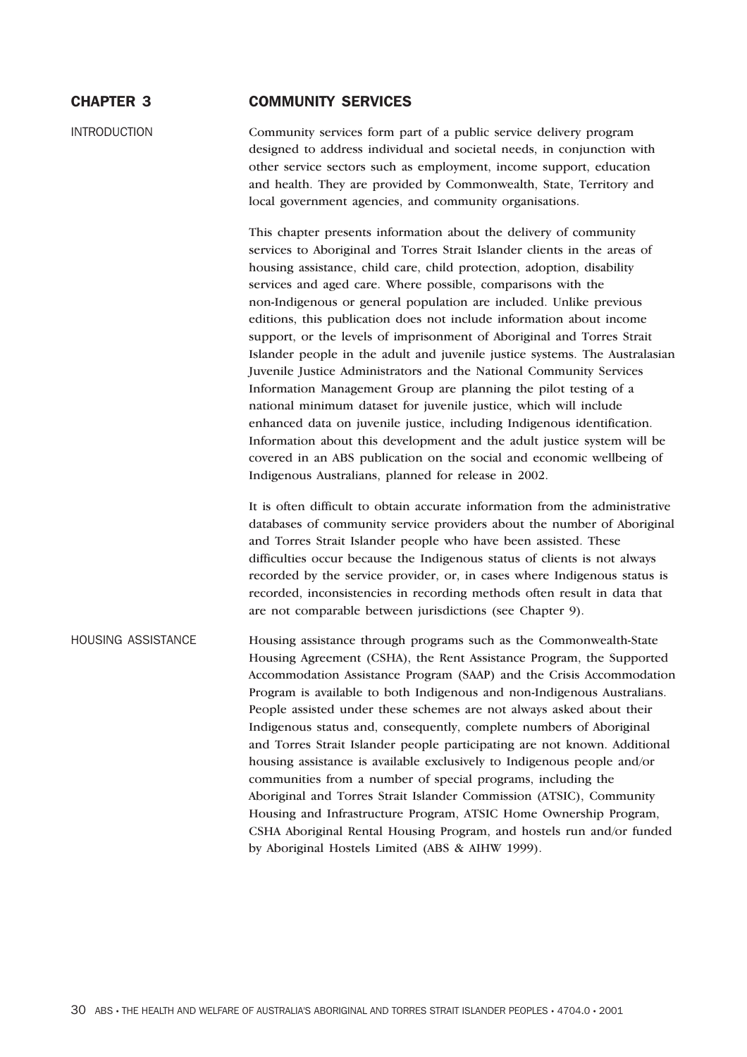# CHAPTER 3 COMMUNITY SERVICES

INTRODUCTION Community services form part of a public service delivery program designed to address individual and societal needs, in conjunction with other service sectors such as employment, income support, education and health. They are provided by Commonwealth, State, Territory and local government agencies, and community organisations.

> This chapter presents information about the delivery of community services to Aboriginal and Torres Strait Islander clients in the areas of housing assistance, child care, child protection, adoption, disability services and aged care. Where possible, comparisons with the non-Indigenous or general population are included. Unlike previous editions, this publication does not include information about income support, or the levels of imprisonment of Aboriginal and Torres Strait Islander people in the adult and juvenile justice systems. The Australasian Juvenile Justice Administrators and the National Community Services Information Management Group are planning the pilot testing of a national minimum dataset for juvenile justice, which will include enhanced data on juvenile justice, including Indigenous identification. Information about this development and the adult justice system will be covered in an ABS publication on the social and economic wellbeing of Indigenous Australians, planned for release in 2002.

> It is often difficult to obtain accurate information from the administrative databases of community service providers about the number of Aboriginal and Torres Strait Islander people who have been assisted. These difficulties occur because the Indigenous status of clients is not always recorded by the service provider, or, in cases where Indigenous status is recorded, inconsistencies in recording methods often result in data that are not comparable between jurisdictions (see Chapter 9).

HOUSING ASSISTANCE Housing assistance through programs such as the Commonwealth-State Housing Agreement (CSHA), the Rent Assistance Program, the Supported Accommodation Assistance Program (SAAP) and the Crisis Accommodation Program is available to both Indigenous and non-Indigenous Australians. People assisted under these schemes are not always asked about their Indigenous status and, consequently, complete numbers of Aboriginal and Torres Strait Islander people participating are not known. Additional housing assistance is available exclusively to Indigenous people and/or communities from a number of special programs, including the Aboriginal and Torres Strait Islander Commission (ATSIC), Community Housing and Infrastructure Program, ATSIC Home Ownership Program, CSHA Aboriginal Rental Housing Program, and hostels run and/or funded by Aboriginal Hostels Limited (ABS & AIHW 1999).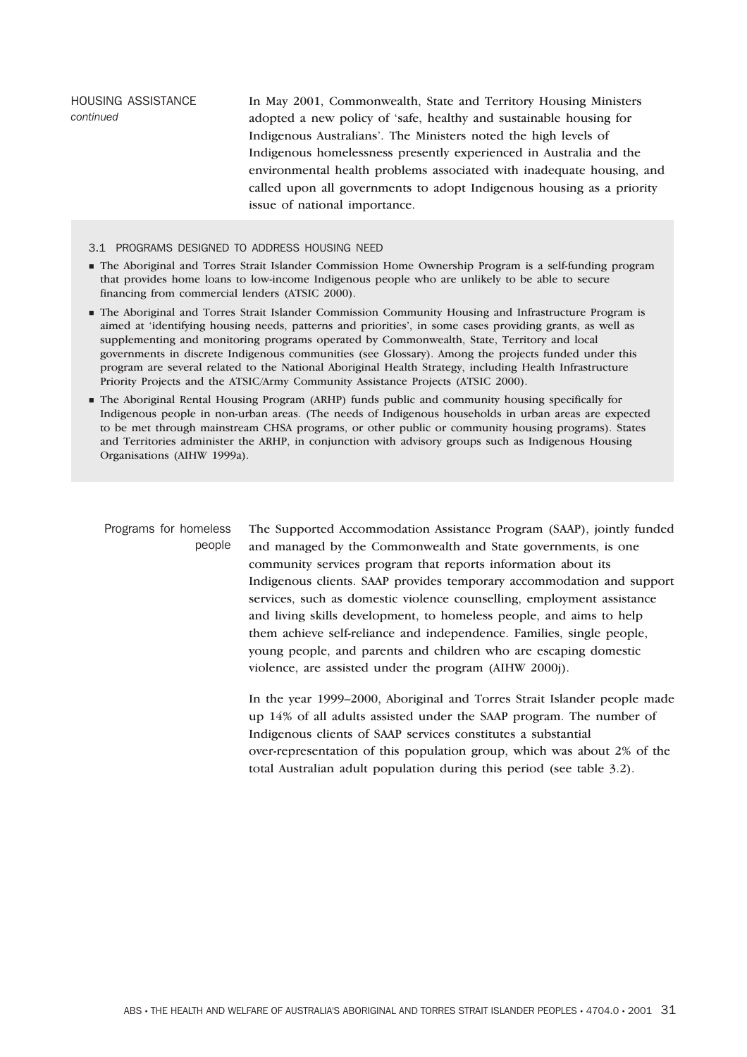HOUSING ASSISTANCE *continued* In May 2001, Commonwealth, State and Territory Housing Ministers adopted a new policy of 'safe, healthy and sustainable housing for Indigenous Australians'. The Ministers noted the high levels of Indigenous homelessness presently experienced in Australia and the environmental health problems associated with inadequate housing, and called upon all governments to adopt Indigenous housing as a priority issue of national importance.

### 3.1 PROGRAMS DESIGNED TO ADDRESS HOUSING NEED

- The Aboriginal and Torres Strait Islander Commission Home Ownership Program is a self-funding program that provides home loans to low-income Indigenous people who are unlikely to be able to secure financing from commercial lenders (ATSIC 2000).
- The Aboriginal and Torres Strait Islander Commission Community Housing and Infrastructure Program is aimed at 'identifying housing needs, patterns and priorities', in some cases providing grants, as well as supplementing and monitoring programs operated by Commonwealth, State, Territory and local governments in discrete Indigenous communities (see Glossary). Among the projects funded under this program are several related to the National Aboriginal Health Strategy, including Health Infrastructure Priority Projects and the ATSIC/Army Community Assistance Projects (ATSIC 2000).
- The Aboriginal Rental Housing Program (ARHP) funds public and community housing specifically for Indigenous people in non-urban areas. (The needs of Indigenous households in urban areas are expected to be met through mainstream CHSA programs, or other public or community housing programs). States and Territories administer the ARHP, in conjunction with advisory groups such as Indigenous Housing Organisations (AIHW 1999a).

Programs for homeless people The Supported Accommodation Assistance Program (SAAP), jointly funded and managed by the Commonwealth and State governments, is one community services program that reports information about its Indigenous clients. SAAP provides temporary accommodation and support services, such as domestic violence counselling, employment assistance and living skills development, to homeless people, and aims to help them achieve self-reliance and independence. Families, single people, young people, and parents and children who are escaping domestic violence, are assisted under the program (AIHW 2000j).

> In the year 1999–2000, Aboriginal and Torres Strait Islander people made up 14% of all adults assisted under the SAAP program. The number of Indigenous clients of SAAP services constitutes a substantial over-representation of this population group, which was about 2% of the total Australian adult population during this period (see table 3.2).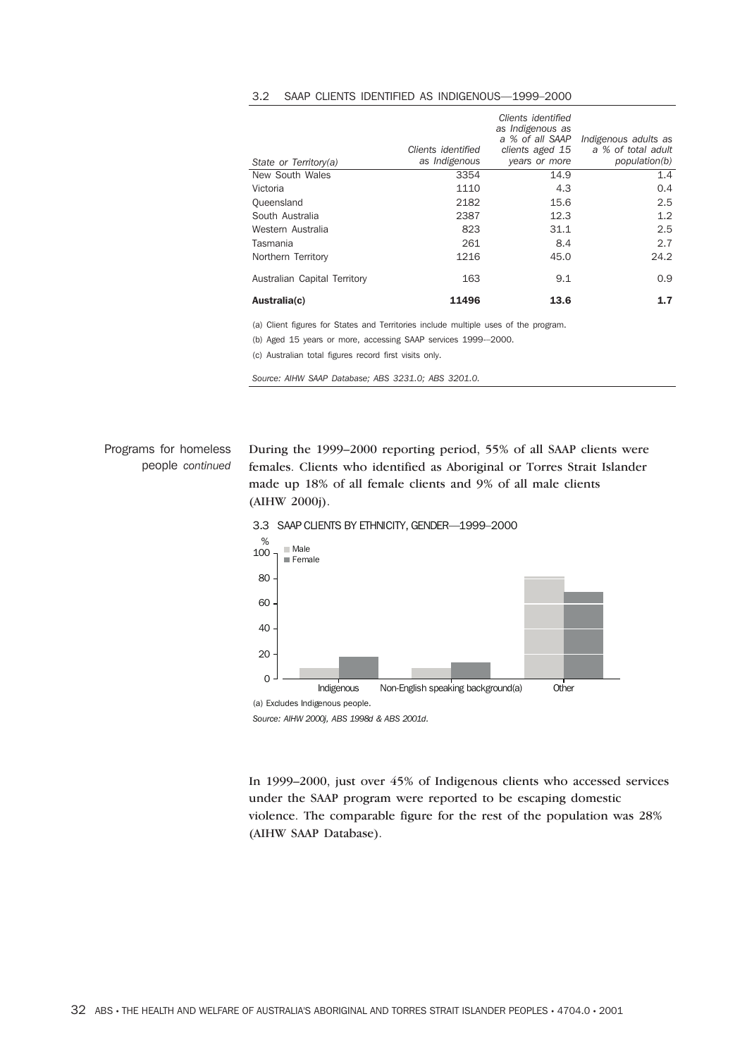| State or Territory(a)        | Clients identified<br>as Indigenous | Clients identified<br>as Indigenous as<br>a % of all SAAP<br>clients aged 15<br>years or more | Indigenous adults as<br>a % of total adult<br>population(b) |
|------------------------------|-------------------------------------|-----------------------------------------------------------------------------------------------|-------------------------------------------------------------|
| New South Wales              | 3354                                | 14.9                                                                                          | 1.4                                                         |
| Victoria                     | 1110                                | 4.3                                                                                           | 0.4                                                         |
| Queensland                   | 2182                                | 15.6                                                                                          | 2.5                                                         |
| South Australia              | 2387                                | 12.3                                                                                          | $1.2^{\circ}$                                               |
| Western Australia            | 823                                 | 31.1                                                                                          | 2.5                                                         |
| Tasmania                     | 261                                 | 8.4                                                                                           | 2.7                                                         |
| Northern Territory           | 1216                                | 45.0                                                                                          | 24.2                                                        |
| Australian Capital Territory | 163                                 | 9.1                                                                                           | 0.9                                                         |
| Australia(c)                 | 11496                               | 13.6                                                                                          | 1.7                                                         |

#### 3.2 SAAP CLIENTS IDENTIFIED AS INDIGENOUS—1999–2000

(a) Client figures for States and Territories include multiple uses of the program.

(b) Aged 15 years or more, accessing SAAP services 1999-–2000.

(c) Australian total figures record first visits only.

*Source: AIHW SAAP Database; ABS 3231.0; ABS 3201.0.*

Programs for homeless people *continued* During the 1999–2000 reporting period, 55% of all SAAP clients were females. Clients who identified as Aboriginal or Torres Strait Islander made up 18% of all female clients and 9% of all male clients (AIHW 2000j).



3.3 SAAP CLIENTS BY ETHNICITY, GENDER—1999–2000

*Source: AIHW 2000j, ABS 1998d & ABS 2001d.*

In 1999–2000, just over 45% of Indigenous clients who accessed services under the SAAP program were reported to be escaping domestic violence. The comparable figure for the rest of the population was 28% (AIHW SAAP Database).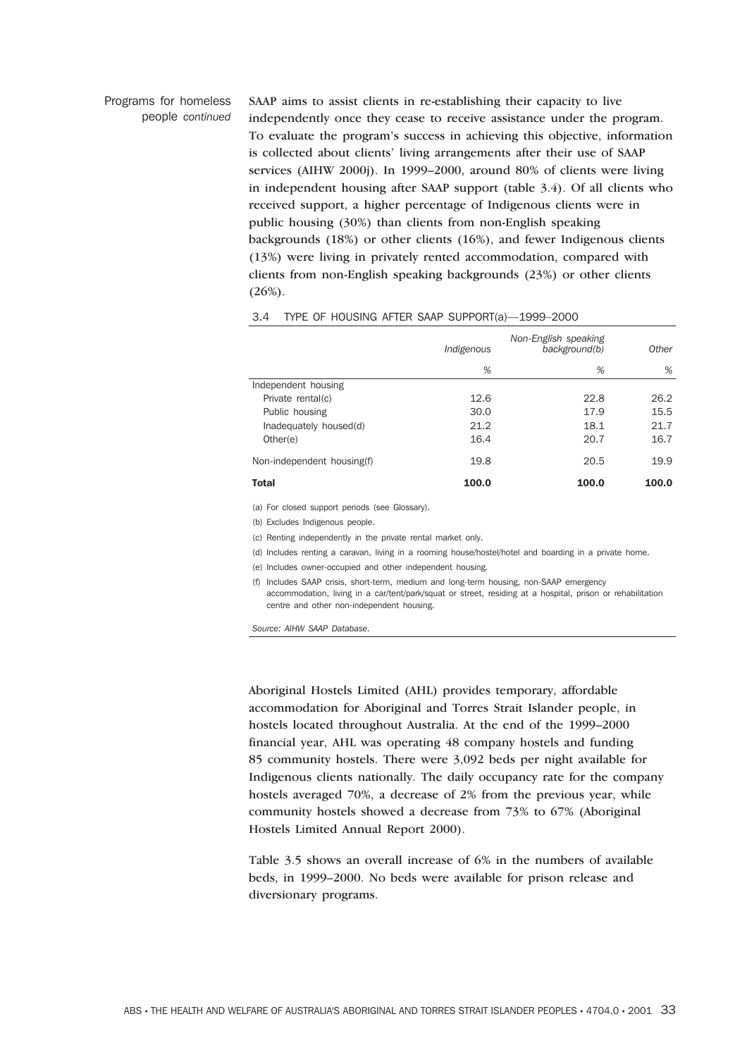### Programs for homeless people *continued*

SAAP aims to assist clients in re-establishing their capacity to live independently once they cease to receive assistance under the program. To evaluate the program's success in achieving this objective, information is collected about clients' living arrangements after their use of SAAP services (AIHW 2000j). In 1999–2000, around 80% of clients were living in independent housing after SAAP support (table 3.4). Of all clients who received support, a higher percentage of Indigenous clients were in public housing (30%) than clients from non-English speaking backgrounds (18%) or other clients (16%), and fewer Indigenous clients (13%) were living in privately rented accommodation, compared with clients from non-English speaking backgrounds (23%) or other clients (26%).

|                            | Indigenous | Non-English speaking<br>background(b) | Other |
|----------------------------|------------|---------------------------------------|-------|
|                            | %          | %                                     | %     |
| Independent housing        |            |                                       |       |
| Private rental(c)          | 12.6       | 22.8                                  | 26.2  |
| Public housing             | 30.0       | 17.9                                  | 15.5  |
| Inadequately housed(d)     | 21.2       | 18.1                                  | 21.7  |
| Other(e)                   | 16.4       | 20.7                                  | 16.7  |
| Non-independent housing(f) | 19.8       | 20.5                                  | 19.9  |
| <b>Total</b>               | 100.0      | 100.0                                 | 100.0 |

#### 3.4 TYPE OF HOUSING AFTER SAAP SUPPORT(a)—1999–2000

(a) For closed support periods (see Glossary).

(b) Excludes Indigenous people.

(c) Renting independently in the private rental market only.

(d) Includes renting a caravan, living in a rooming house/hostel/hotel and boarding in a private home.

(e) Includes owner-occupied and other independent housing.

(f) Includes SAAP crisis, short-term, medium and long-term housing, non-SAAP emergency accommodation, living in a car/tent/park/squat or street, residing at a hospital, prison or rehabilitation centre and other non-independent housing.

*Source: AIHW SAAP Database.*

Aboriginal Hostels Limited (AHL) provides temporary, affordable accommodation for Aboriginal and Torres Strait Islander people, in hostels located throughout Australia. At the end of the 1999–2000 financial year, AHL was operating 48 company hostels and funding 85 community hostels. There were 3,092 beds per night available for Indigenous clients nationally. The daily occupancy rate for the company hostels averaged 70%, a decrease of 2% from the previous year, while community hostels showed a decrease from 73% to 67% (Aboriginal Hostels Limited Annual Report 2000).

Table 3.5 shows an overall increase of 6% in the numbers of available beds, in 1999–2000. No beds were available for prison release and diversionary programs.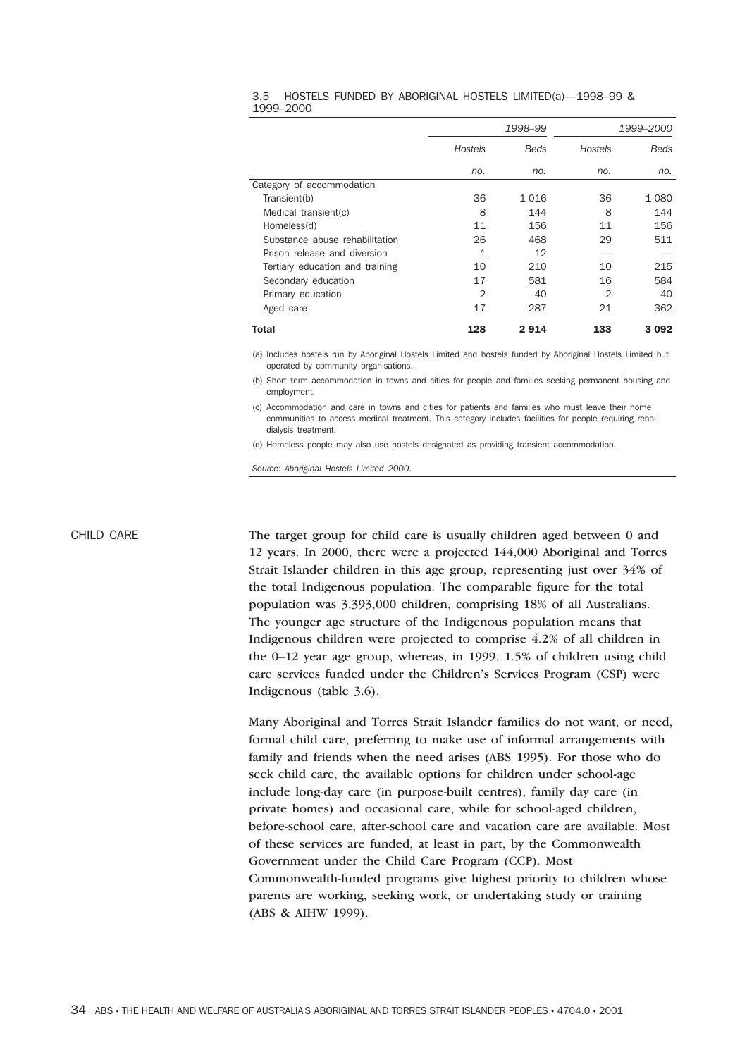#### 3.5 HOSTELS FUNDED BY ABORIGINAL HOSTELS LIMITED(a)—1998–99 & 1999–2000

|                                 |                | 1998-99     | 1999–2000      |             |  |
|---------------------------------|----------------|-------------|----------------|-------------|--|
|                                 | Hostels        | <b>Beds</b> | Hostels        | <b>Beds</b> |  |
|                                 | no.            | no.         | no.            | no.         |  |
| Category of accommodation       |                |             |                |             |  |
| Transient(b)                    | 36             | 1 0 1 6     | 36             | 1 0 8 0     |  |
| Medical transient(c)            | 8              | 144         | 8              | 144         |  |
| Homeless(d)                     | 11             | 156         | 11             | 156         |  |
| Substance abuse rehabilitation  | 26             | 468         | 29             | 511         |  |
| Prison release and diversion    | 1              | 12          |                |             |  |
| Tertiary education and training | 10             | 210         | 10             | 215         |  |
| Secondary education             | 17             | 581         | 16             | 584         |  |
| Primary education               | $\overline{2}$ | 40          | $\overline{2}$ | 40          |  |
| Aged care                       | 17             | 287         | 21             | 362         |  |
| Total                           | 128            | 2914        | 133            | 3 0 9 2     |  |

(a) Includes hostels run by Aboriginal Hostels Limited and hostels funded by Aboriginal Hostels Limited but operated by community organisations.

(b) Short term accommodation in towns and cities for people and families seeking permanent housing and employment.

(c) Accommodation and care in towns and cities for patients and families who must leave their home communities to access medical treatment. This category includes facilities for people requiring renal dialysis treatment.

(d) Homeless people may also use hostels designated as providing transient accommodation.

*Source: Aboriginal Hostels Limited 2000.*

CHILD CARE The target group for child care is usually children aged between 0 and 12 years. In 2000, there were a projected 144,000 Aboriginal and Torres Strait Islander children in this age group, representing just over 34% of the total Indigenous population. The comparable figure for the total population was 3,393,000 children, comprising 18% of all Australians. The younger age structure of the Indigenous population means that Indigenous children were projected to comprise 4.2% of all children in the 0–12 year age group, whereas, in 1999, 1.5% of children using child care services funded under the Children's Services Program (CSP) were Indigenous (table 3.6).

> Many Aboriginal and Torres Strait Islander families do not want, or need, formal child care, preferring to make use of informal arrangements with family and friends when the need arises (ABS 1995). For those who do seek child care, the available options for children under school-age include long-day care (in purpose-built centres), family day care (in private homes) and occasional care, while for school-aged children, before-school care, after-school care and vacation care are available. Most of these services are funded, at least in part, by the Commonwealth Government under the Child Care Program (CCP). Most Commonwealth-funded programs give highest priority to children whose parents are working, seeking work, or undertaking study or training (ABS & AIHW 1999).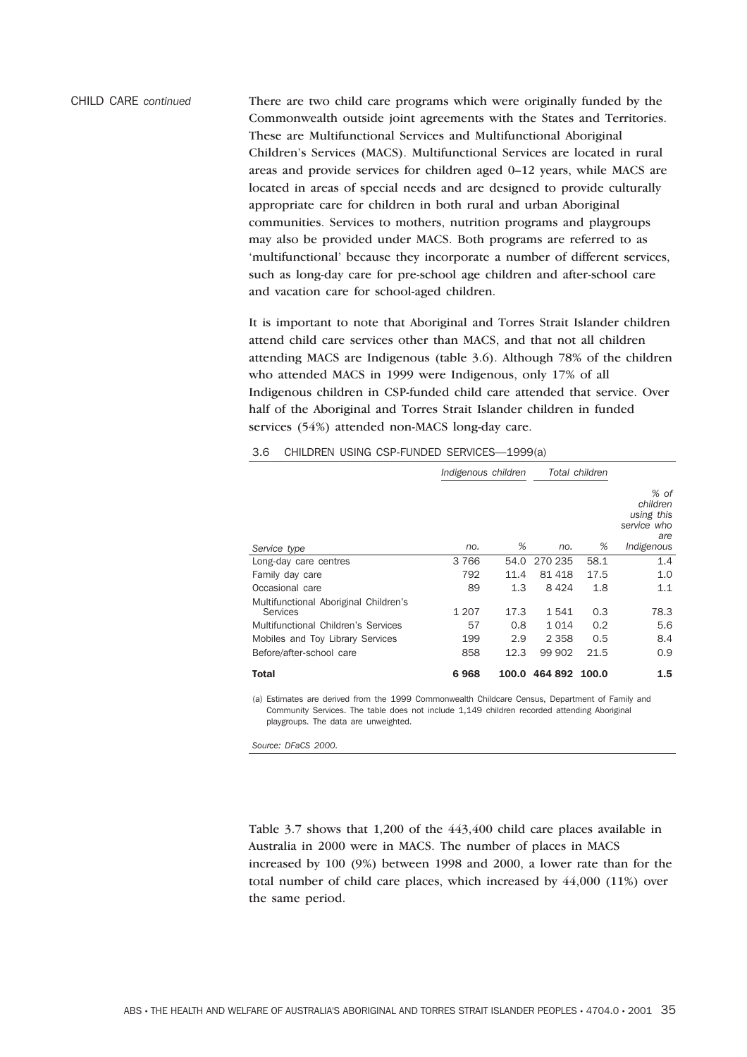CHILD CARE *continued* There are two child care programs which were originally funded by the Commonwealth outside joint agreements with the States and Territories. These are Multifunctional Services and Multifunctional Aboriginal Children's Services (MACS). Multifunctional Services are located in rural areas and provide services for children aged 0–12 years, while MACS are located in areas of special needs and are designed to provide culturally appropriate care for children in both rural and urban Aboriginal communities. Services to mothers, nutrition programs and playgroups may also be provided under MACS. Both programs are referred to as 'multifunctional' because they incorporate a number of different services, such as long-day care for pre-school age children and after-school care and vacation care for school-aged children.

> It is important to note that Aboriginal and Torres Strait Islander children attend child care services other than MACS, and that not all children attending MACS are Indigenous (table 3.6). Although 78% of the children who attended MACS in 1999 were Indigenous, only 17% of all Indigenous children in CSP-funded child care attended that service. Over half of the Aboriginal and Torres Strait Islander children in funded services (54%) attended non-MACS long-day care.

|                                                   | Indigenous children |      | Total children |       |                                                      |
|---------------------------------------------------|---------------------|------|----------------|-------|------------------------------------------------------|
|                                                   |                     |      |                |       | % of<br>children<br>using this<br>service who<br>are |
| Service type                                      | no.                 | %    | no.            | %     | Indigenous                                           |
| Long-day care centres                             | 3 7 6 6             | 54.0 | 270 235        | 58.1  | 1.4                                                  |
| Family day care                                   | 792                 | 11.4 | 81 418         | 17.5  | 1.0                                                  |
| Occasional care                                   | 89                  | 1.3  | 8424           | 1.8   | 1.1                                                  |
| Multifunctional Aboriginal Children's<br>Services | 1 207               | 17.3 | 1541           | 0.3   | 78.3                                                 |
| Multifunctional Children's Services               | 57                  | 0.8  | 1014           | 0.2   | 5.6                                                  |
| Mobiles and Toy Library Services                  | 199                 | 2.9  | 2 3 5 8        | 0.5   | 8.4                                                  |
| Before/after-school care                          | 858                 | 12.3 | 99 902         | 21.5  | 0.9                                                  |
| <b>Total</b>                                      | 6968                |      | 100.0 464 892  | 100.0 | 1.5                                                  |

#### 3.6 CHILDREN USING CSP-FUNDED SERVICES—1999(a)

(a) Estimates are derived from the 1999 Commonwealth Childcare Census, Department of Family and Community Services. The table does not include 1,149 children recorded attending Aboriginal playgroups. The data are unweighted.

*Source: DFaCS 2000.*

Table 3.7 shows that 1,200 of the 443,400 child care places available in Australia in 2000 were in MACS. The number of places in MACS increased by 100 (9%) between 1998 and 2000, a lower rate than for the total number of child care places, which increased by 44,000 (11%) over the same period.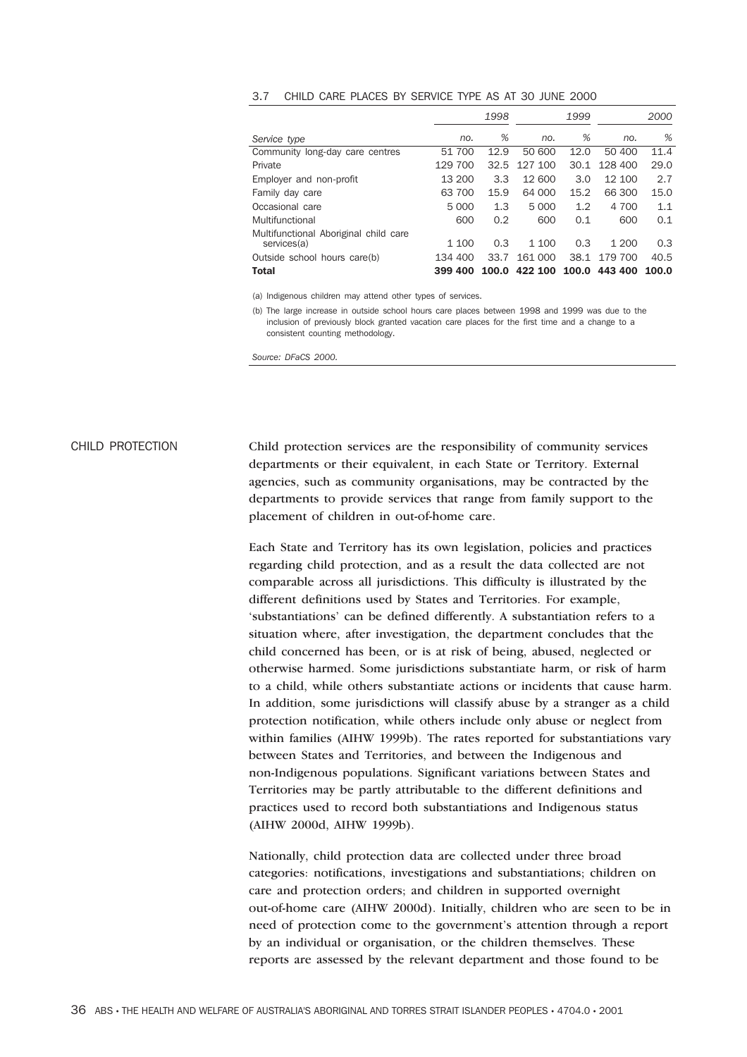#### 3.7 CHILD CARE PLACES BY SERVICE TYPE AS AT 30 JUNE 2000

|                                                      |         | 1998  |         | 1999  |         | 2000  |
|------------------------------------------------------|---------|-------|---------|-------|---------|-------|
| Service type                                         | no.     | %     | no.     | %     | no.     | %     |
| Community long-day care centres                      | 51 700  | 12.9  | 50 600  | 12.0  | 50 400  | 11.4  |
| Private                                              | 129 700 | 32.5  | 127 100 | 30.1  | 128 400 | 29.0  |
| Employer and non-profit                              | 13 200  | 3.3   | 12 600  | 3.0   | 12 100  | 2.7   |
| Family day care                                      | 63 700  | 15.9  | 64 000  | 15.2  | 66 300  | 15.0  |
| Occasional care                                      | 5 0 0 0 | 1.3   | 5 0 0 0 | 1.2   | 4 700   | 1.1   |
| Multifunctional                                      | 600     | 0.2   | 600     | 0.1   | 600     | 0.1   |
| Multifunctional Aboriginal child care<br>services(a) | 1 100   | 0.3   | 1 100   | 0.3   | 1 200   | 0.3   |
| Outside school hours care(b)                         | 134 400 | 33.7  | 161 000 | 38.1  | 179 700 | 40.5  |
| <b>Total</b>                                         | 399 400 | 100.0 | 422 100 | 100.0 | 443 400 | 100.0 |

(a) Indigenous children may attend other types of services.

(b) The large increase in outside school hours care places between 1998 and 1999 was due to the inclusion of previously block granted vacation care places for the first time and a change to a consistent counting methodology.

*Source: DFaCS 2000.*

## CHILD PROTECTION Child protection services are the responsibility of community services departments or their equivalent, in each State or Territory. External agencies, such as community organisations, may be contracted by the departments to provide services that range from family support to the placement of children in out-of-home care.

Each State and Territory has its own legislation, policies and practices regarding child protection, and as a result the data collected are not comparable across all jurisdictions. This difficulty is illustrated by the different definitions used by States and Territories. For example, 'substantiations' can be defined differently. A substantiation refers to a situation where, after investigation, the department concludes that the child concerned has been, or is at risk of being, abused, neglected or otherwise harmed. Some jurisdictions substantiate harm, or risk of harm to a child, while others substantiate actions or incidents that cause harm. In addition, some jurisdictions will classify abuse by a stranger as a child protection notification, while others include only abuse or neglect from within families (AIHW 1999b). The rates reported for substantiations vary between States and Territories, and between the Indigenous and non-Indigenous populations. Significant variations between States and Territories may be partly attributable to the different definitions and practices used to record both substantiations and Indigenous status (AIHW 2000d, AIHW 1999b).

Nationally, child protection data are collected under three broad categories: notifications, investigations and substantiations; children on care and protection orders; and children in supported overnight out-of-home care (AIHW 2000d). Initially, children who are seen to be in need of protection come to the government's attention through a report by an individual or organisation, or the children themselves. These reports are assessed by the relevant department and those found to be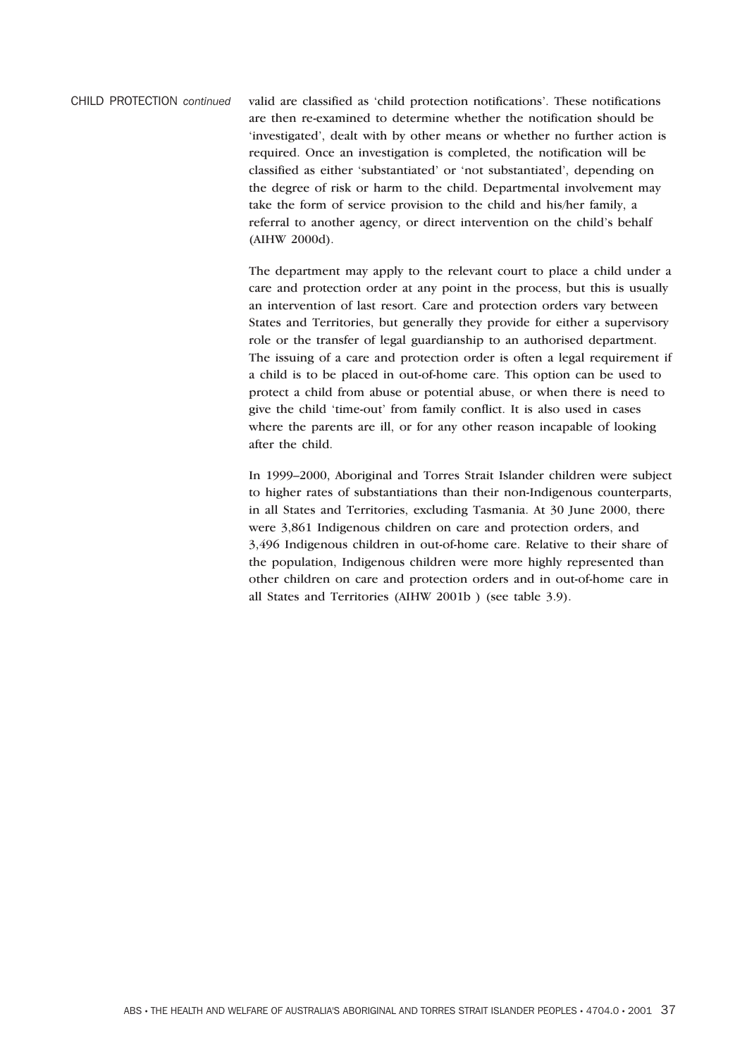CHILD PROTECTION *continued* valid are classified as 'child protection notifications'. These notifications are then re-examined to determine whether the notification should be 'investigated', dealt with by other means or whether no further action is required. Once an investigation is completed, the notification will be classified as either 'substantiated' or 'not substantiated', depending on the degree of risk or harm to the child. Departmental involvement may take the form of service provision to the child and his/her family, a referral to another agency, or direct intervention on the child's behalf (AIHW 2000d).

> The department may apply to the relevant court to place a child under a care and protection order at any point in the process, but this is usually an intervention of last resort. Care and protection orders vary between States and Territories, but generally they provide for either a supervisory role or the transfer of legal guardianship to an authorised department. The issuing of a care and protection order is often a legal requirement if a child is to be placed in out-of-home care. This option can be used to protect a child from abuse or potential abuse, or when there is need to give the child 'time-out' from family conflict. It is also used in cases where the parents are ill, or for any other reason incapable of looking after the child.

> In 1999–2000, Aboriginal and Torres Strait Islander children were subject to higher rates of substantiations than their non-Indigenous counterparts, in all States and Territories, excluding Tasmania. At 30 June 2000, there were 3,861 Indigenous children on care and protection orders, and 3,496 Indigenous children in out-of-home care. Relative to their share of the population, Indigenous children were more highly represented than other children on care and protection orders and in out-of-home care in all States and Territories (AIHW 2001b ) (see table 3.9).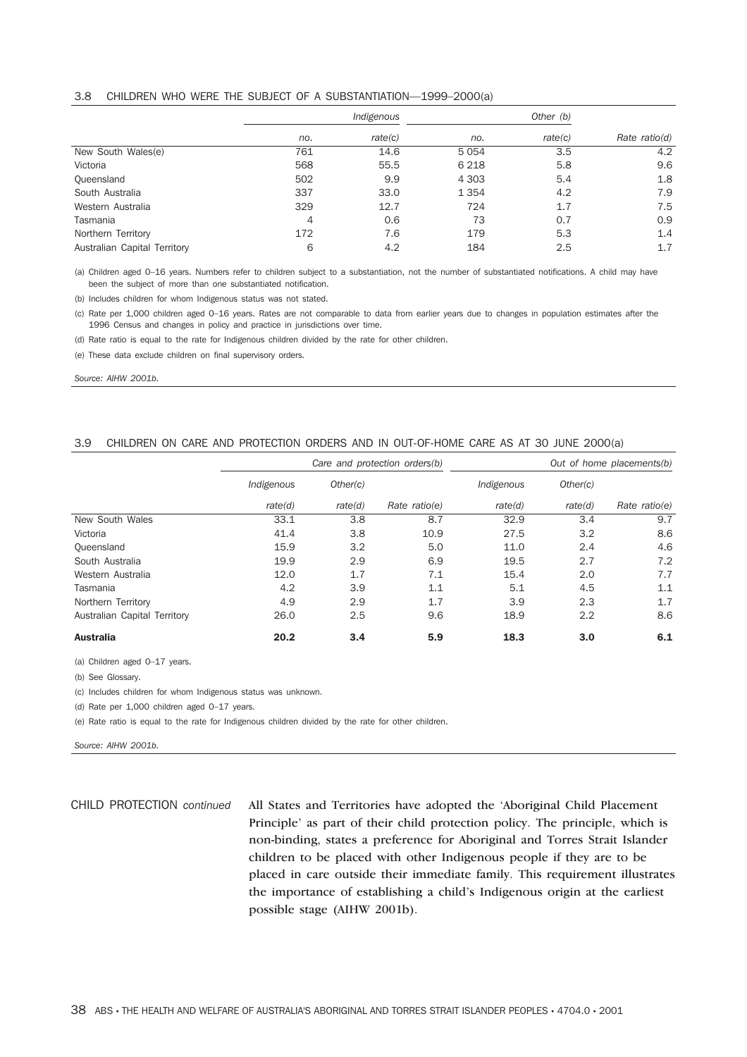#### 3.8 CHILDREN WHO WERE THE SUBJECT OF A SUBSTANTIATION—1999–2000(a)

|                              | Indigenous |         |         |         |                 |
|------------------------------|------------|---------|---------|---------|-----------------|
|                              | no.        | rate(c) | no.     | rate(c) | Rate $ratio(d)$ |
| New South Wales(e)           | 761        | 14.6    | 5054    | 3.5     | 4.2             |
| Victoria                     | 568        | 55.5    | 6 2 1 8 | 5.8     | 9.6             |
| Queensland                   | 502        | 9.9     | 4 3 0 3 | 5.4     | 1.8             |
| South Australia              | 337        | 33.0    | 1 3 5 4 | 4.2     | 7.9             |
| Western Australia            | 329        | 12.7    | 724     | 1.7     | 7.5             |
| Tasmania                     | 4          | 0.6     | 73      | 0.7     | 0.9             |
| Northern Territory           | 172        | 7.6     | 179     | 5.3     | 1.4             |
| Australian Capital Territory | 6          | 4.2     | 184     | 2.5     | 1.7             |

(a) Children aged 0–16 years. Numbers refer to children subject to a substantiation, not the number of substantiated notifications. A child may have been the subject of more than one substantiated notification.

(b) Includes children for whom Indigenous status was not stated.

(c) Rate per 1,000 children aged 0–16 years. Rates are not comparable to data from earlier years due to changes in population estimates after the 1996 Census and changes in policy and practice in jurisdictions over time.

(d) Rate ratio is equal to the rate for Indigenous children divided by the rate for other children.

(e) These data exclude children on final supervisory orders.

*Source: AIHW 2001b.*

#### 3.9 CHILDREN ON CARE AND PROTECTION ORDERS AND IN OUT-OF-HOME CARE AS AT 30 JUNE 2000(a)

|                              | Care and protection orders(b) |          |               |            | Out of home placements(b) |               |
|------------------------------|-------------------------------|----------|---------------|------------|---------------------------|---------------|
|                              | Indigenous                    | Other(c) |               | Indigenous | Other(c)                  |               |
|                              | rate(d)                       | rate(d)  | Rate ratio(e) | rate(d)    | rate(d)                   | Rate ratio(e) |
| New South Wales              | 33.1                          | 3.8      | 8.7           | 32.9       | 3.4                       | 9.7           |
| Victoria                     | 41.4                          | 3.8      | 10.9          | 27.5       | 3.2                       | 8.6           |
| Queensland                   | 15.9                          | 3.2      | 5.0           | 11.0       | 2.4                       | 4.6           |
| South Australia              | 19.9                          | 2.9      | 6.9           | 19.5       | 2.7                       | 7.2           |
| Western Australia            | 12.0                          | 1.7      | 7.1           | 15.4       | 2.0                       | 7.7           |
| Tasmania                     | 4.2                           | 3.9      | 1.1           | 5.1        | 4.5                       | 1.1           |
| Northern Territory           | 4.9                           | 2.9      | 1.7           | 3.9        | 2.3                       | 1.7           |
| Australian Capital Territory | 26.0                          | 2.5      | 9.6           | 18.9       | 2.2                       | 8.6           |
| <b>Australia</b>             | 20.2                          | 3.4      | 5.9           | 18.3       | 3.0                       | 6.1           |

(a) Children aged 0–17 years.

(b) See Glossary.

(c) Includes children for whom Indigenous status was unknown.

(d) Rate per 1,000 children aged 0–17 years.

(e) Rate ratio is equal to the rate for Indigenous children divided by the rate for other children.

*Source: AIHW 2001b.*

CHILD PROTECTION *continued* All States and Territories have adopted the 'Aboriginal Child Placement Principle' as part of their child protection policy. The principle, which is non-binding, states a preference for Aboriginal and Torres Strait Islander children to be placed with other Indigenous people if they are to be placed in care outside their immediate family. This requirement illustrates the importance of establishing a child's Indigenous origin at the earliest possible stage (AIHW 2001b).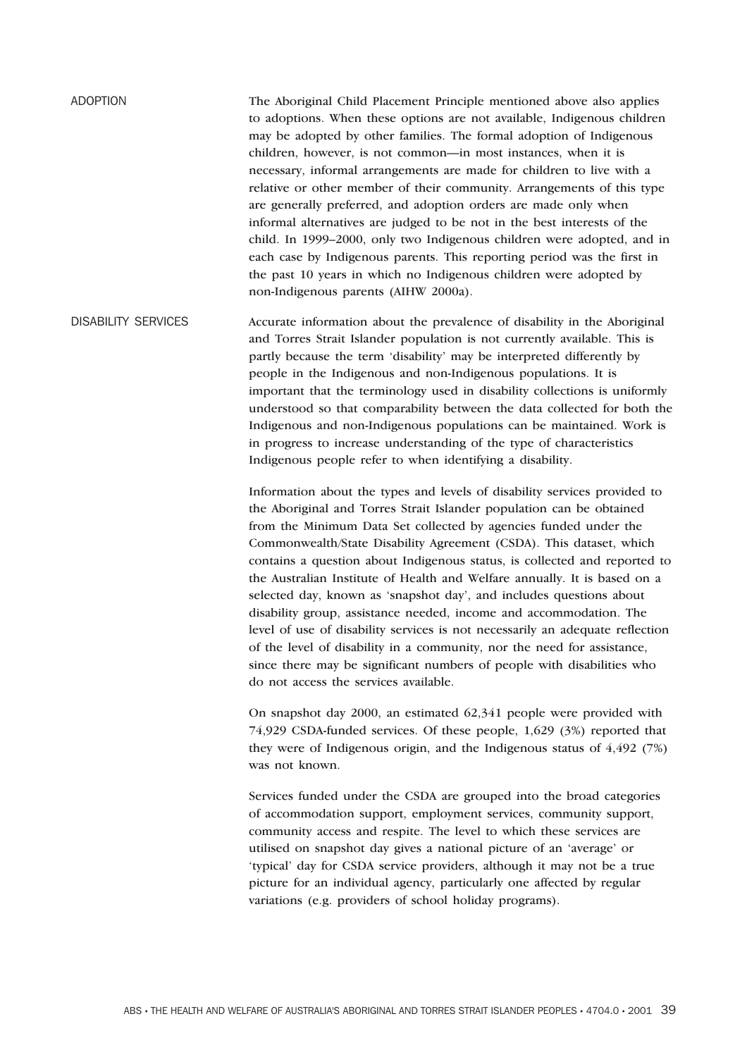ADOPTION The Aboriginal Child Placement Principle mentioned above also applies to adoptions. When these options are not available, Indigenous children may be adopted by other families. The formal adoption of Indigenous children, however, is not common—in most instances, when it is necessary, informal arrangements are made for children to live with a relative or other member of their community. Arrangements of this type are generally preferred, and adoption orders are made only when informal alternatives are judged to be not in the best interests of the child. In 1999–2000, only two Indigenous children were adopted, and in each case by Indigenous parents. This reporting period was the first in the past 10 years in which no Indigenous children were adopted by non-Indigenous parents (AIHW 2000a).

DISABILITY SERVICES Accurate information about the prevalence of disability in the Aboriginal and Torres Strait Islander population is not currently available. This is partly because the term 'disability' may be interpreted differently by people in the Indigenous and non-Indigenous populations. It is important that the terminology used in disability collections is uniformly understood so that comparability between the data collected for both the Indigenous and non-Indigenous populations can be maintained. Work is in progress to increase understanding of the type of characteristics Indigenous people refer to when identifying a disability.

> Information about the types and levels of disability services provided to the Aboriginal and Torres Strait Islander population can be obtained from the Minimum Data Set collected by agencies funded under the Commonwealth/State Disability Agreement (CSDA). This dataset, which contains a question about Indigenous status, is collected and reported to the Australian Institute of Health and Welfare annually. It is based on a selected day, known as 'snapshot day', and includes questions about disability group, assistance needed, income and accommodation. The level of use of disability services is not necessarily an adequate reflection of the level of disability in a community, nor the need for assistance, since there may be significant numbers of people with disabilities who do not access the services available.

On snapshot day 2000, an estimated 62,341 people were provided with 74,929 CSDA-funded services. Of these people, 1,629 (3%) reported that they were of Indigenous origin, and the Indigenous status of 4,492 (7%) was not known.

Services funded under the CSDA are grouped into the broad categories of accommodation support, employment services, community support, community access and respite. The level to which these services are utilised on snapshot day gives a national picture of an 'average' or 'typical' day for CSDA service providers, although it may not be a true picture for an individual agency, particularly one affected by regular variations (e.g. providers of school holiday programs).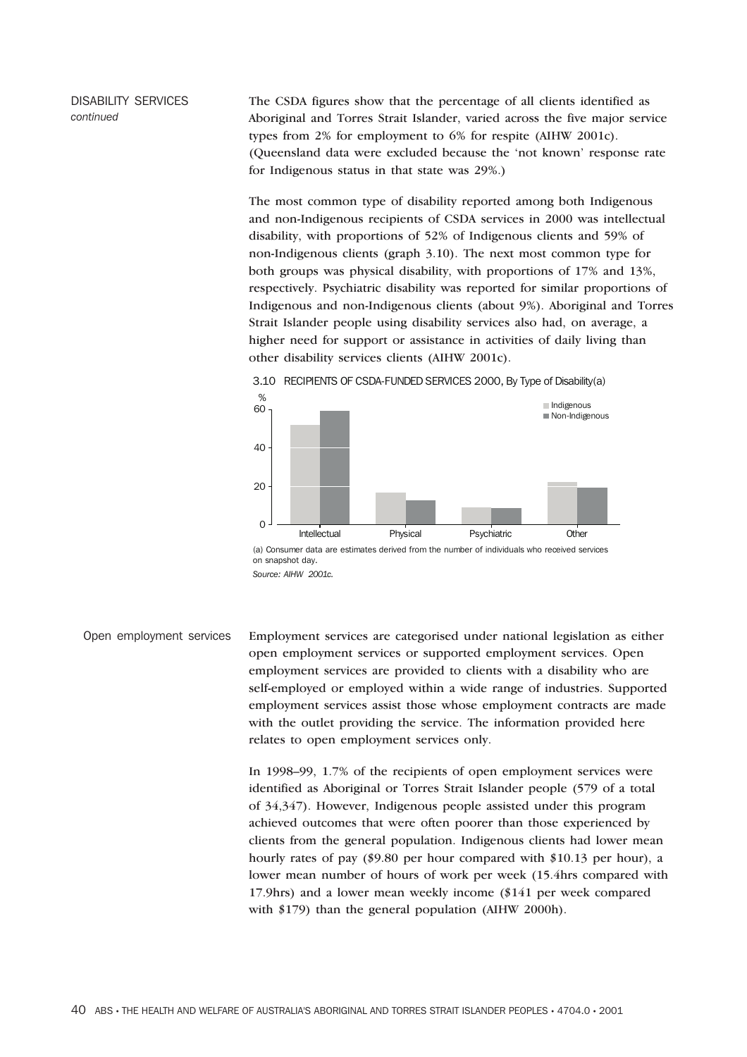DISABILITY SERVICES *continued*

The CSDA figures show that the percentage of all clients identified as Aboriginal and Torres Strait Islander, varied across the five major service types from 2% for employment to 6% for respite (AIHW 2001c). (Queensland data were excluded because the 'not known' response rate for Indigenous status in that state was 29%.)

The most common type of disability reported among both Indigenous and non-Indigenous recipients of CSDA services in 2000 was intellectual disability, with proportions of 52% of Indigenous clients and 59% of non-Indigenous clients (graph 3.10). The next most common type for both groups was physical disability, with proportions of 17% and 13%, respectively. Psychiatric disability was reported for similar proportions of Indigenous and non-Indigenous clients (about 9%). Aboriginal and Torres Strait Islander people using disability services also had, on average, a higher need for support or assistance in activities of daily living than other disability services clients (AIHW 2001c).





*Source: AIHW 2001c.*

Open employment services Employment services are categorised under national legislation as either open employment services or supported employment services. Open employment services are provided to clients with a disability who are self-employed or employed within a wide range of industries. Supported employment services assist those whose employment contracts are made with the outlet providing the service. The information provided here relates to open employment services only.

> In 1998–99, 1.7% of the recipients of open employment services were identified as Aboriginal or Torres Strait Islander people (579 of a total of 34,347). However, Indigenous people assisted under this program achieved outcomes that were often poorer than those experienced by clients from the general population. Indigenous clients had lower mean hourly rates of pay (\$9.80 per hour compared with \$10.13 per hour), a lower mean number of hours of work per week (15.4hrs compared with 17.9hrs) and a lower mean weekly income (\$141 per week compared with \$179) than the general population (AIHW 2000h).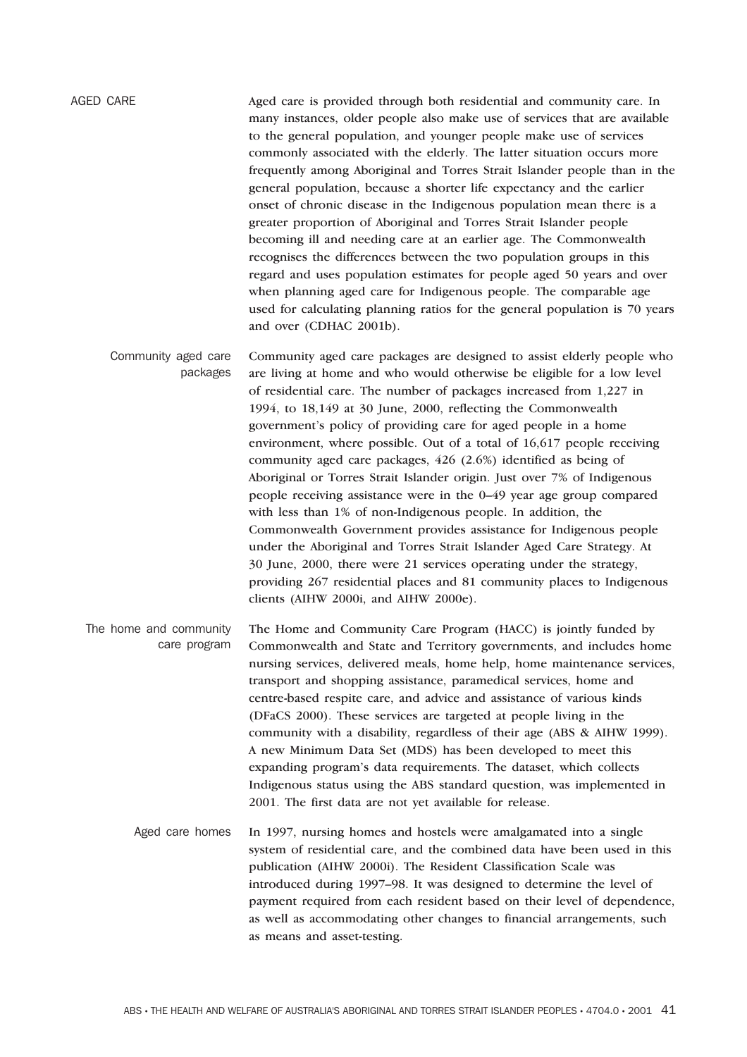AGED CARE Aged care is provided through both residential and community care. In many instances, older people also make use of services that are available to the general population, and younger people make use of services commonly associated with the elderly. The latter situation occurs more frequently among Aboriginal and Torres Strait Islander people than in the general population, because a shorter life expectancy and the earlier onset of chronic disease in the Indigenous population mean there is a greater proportion of Aboriginal and Torres Strait Islander people becoming ill and needing care at an earlier age. The Commonwealth recognises the differences between the two population groups in this regard and uses population estimates for people aged 50 years and over when planning aged care for Indigenous people. The comparable age used for calculating planning ratios for the general population is 70 years and over (CDHAC 2001b).

Community aged care packages Community aged care packages are designed to assist elderly people who are living at home and who would otherwise be eligible for a low level of residential care. The number of packages increased from 1,227 in 1994, to 18,149 at 30 June, 2000, reflecting the Commonwealth government's policy of providing care for aged people in a home environment, where possible. Out of a total of 16,617 people receiving community aged care packages, 426 (2.6%) identified as being of Aboriginal or Torres Strait Islander origin. Just over 7% of Indigenous people receiving assistance were in the 0–49 year age group compared with less than 1% of non-Indigenous people. In addition, the Commonwealth Government provides assistance for Indigenous people under the Aboriginal and Torres Strait Islander Aged Care Strategy. At 30 June, 2000, there were 21 services operating under the strategy, providing 267 residential places and 81 community places to Indigenous clients (AIHW 2000i, and AIHW 2000e).

The home and community care program The Home and Community Care Program (HACC) is jointly funded by Commonwealth and State and Territory governments, and includes home nursing services, delivered meals, home help, home maintenance services, transport and shopping assistance, paramedical services, home and centre-based respite care, and advice and assistance of various kinds (DFaCS 2000). These services are targeted at people living in the community with a disability, regardless of their age (ABS & AIHW 1999). A new Minimum Data Set (MDS) has been developed to meet this expanding program's data requirements. The dataset, which collects Indigenous status using the ABS standard question, was implemented in 2001. The first data are not yet available for release.

Aged care homes In 1997, nursing homes and hostels were amalgamated into a single system of residential care, and the combined data have been used in this publication (AIHW 2000i). The Resident Classification Scale was introduced during 1997–98. It was designed to determine the level of payment required from each resident based on their level of dependence, as well as accommodating other changes to financial arrangements, such as means and asset-testing.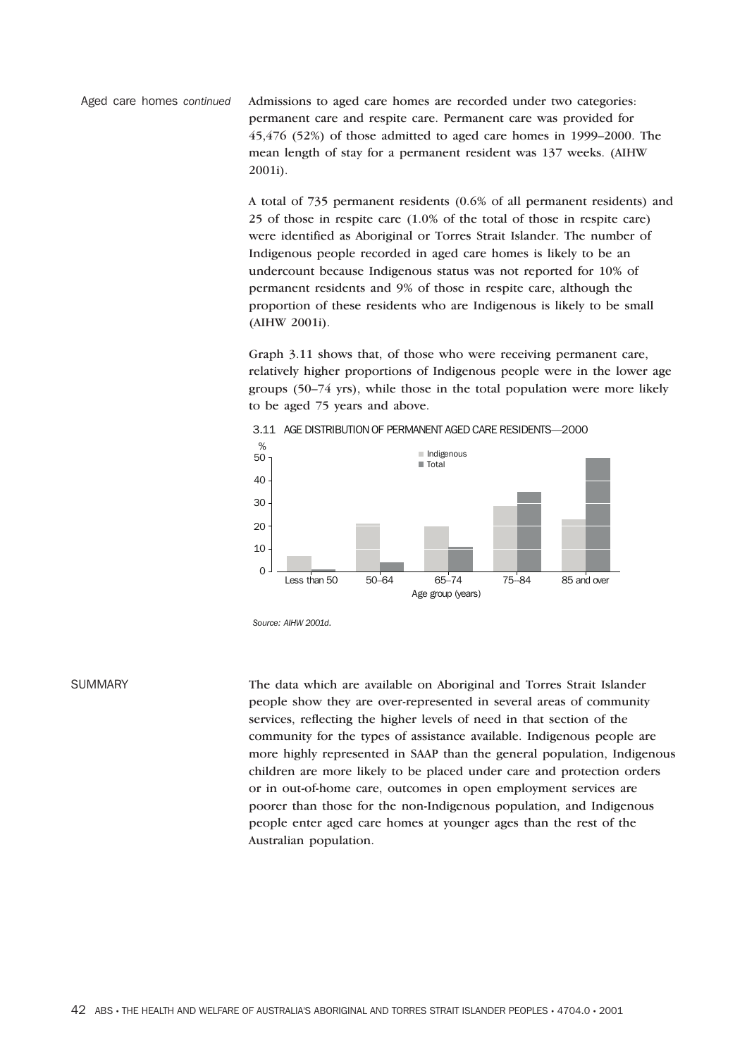Aged care homes *continued* Admissions to aged care homes are recorded under two categories: permanent care and respite care. Permanent care was provided for 45,476 (52%) of those admitted to aged care homes in 1999–2000. The mean length of stay for a permanent resident was 137 weeks. (AIHW 2001i).

> A total of 735 permanent residents (0.6% of all permanent residents) and 25 of those in respite care (1.0% of the total of those in respite care) were identified as Aboriginal or Torres Strait Islander. The number of Indigenous people recorded in aged care homes is likely to be an undercount because Indigenous status was not reported for 10% of permanent residents and 9% of those in respite care, although the proportion of these residents who are Indigenous is likely to be small (AIHW 2001i).

> Graph 3.11 shows that, of those who were receiving permanent care, relatively higher proportions of Indigenous people were in the lower age groups (50–74 yrs), while those in the total population were more likely to be aged 75 years and above.



*Source: AIHW 2001d.*

SUMMARY The data which are available on Aboriginal and Torres Strait Islander people show they are over-represented in several areas of community services, reflecting the higher levels of need in that section of the community for the types of assistance available. Indigenous people are more highly represented in SAAP than the general population, Indigenous children are more likely to be placed under care and protection orders or in out-of-home care, outcomes in open employment services are poorer than those for the non-Indigenous population, and Indigenous people enter aged care homes at younger ages than the rest of the Australian population.